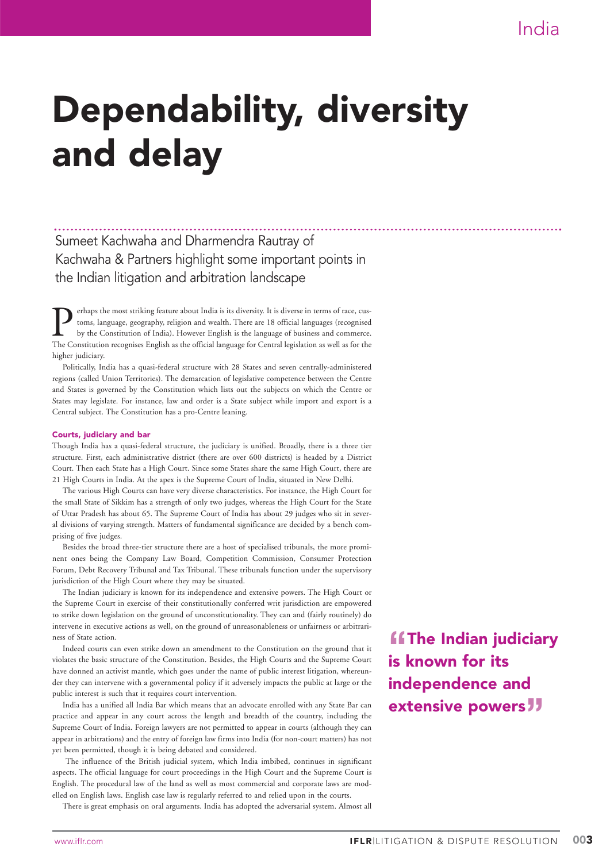# Dependability, diversity and delay

Sumeet Kachwaha and Dharmendra Rautray of Kachwaha & Partners highlight some important points in the Indian litigation and arbitration landscape

Ferhaps the most striking feature about India is its diversity. It is diverse in terms of race, customs, language, geography, religion and wealth. There are 18 official languages (recognised by the Constitution of India). toms, language, geography, religion and wealth. There are 18 official languages (recognised by the Constitution of India). However English is the language of business and commerce. The Constitution recognises English as the official language for Central legislation as well as for the higher judiciary.

Politically, India has a quasi-federal structure with 28 States and seven centrally-administered regions (called Union Territories). The demarcation of legislative competence between the Centre and States is governed by the Constitution which lists out the subjects on which the Centre or States may legislate. For instance, law and order is a State subject while import and export is a Central subject. The Constitution has a pro-Centre leaning.

#### Courts, judiciary and bar

Though India has a quasi-federal structure, the judiciary is unified. Broadly, there is a three tier structure. First, each administrative district (there are over 600 districts) is headed by a District Court. Then each State has a High Court. Since some States share the same High Court, there are 21 High Courts in India. At the apex is the Supreme Court of India, situated in New Delhi.

The various High Courts can have very diverse characteristics. For instance, the High Court for the small State of Sikkim has a strength of only two judges, whereas the High Court for the State of Uttar Pradesh has about 65. The Supreme Court of India has about 29 judges who sit in several divisions of varying strength. Matters of fundamental significance are decided by a bench comprising of five judges.

Besides the broad three-tier structure there are a host of specialised tribunals, the more prominent ones being the Company Law Board, Competition Commission, Consumer Protection Forum, Debt Recovery Tribunal and Tax Tribunal. These tribunals function under the supervisory jurisdiction of the High Court where they may be situated.

The Indian judiciary is known for its independence and extensive powers. The High Court or the Supreme Court in exercise of their constitutionally conferred writ jurisdiction are empowered to strike down legislation on the ground of unconstitutionality. They can and (fairly routinely) do intervene in executive actions as well, on the ground of unreasonableness or unfairness or arbitrariness of State action.

Indeed courts can even strike down an amendment to the Constitution on the ground that it violates the basic structure of the Constitution. Besides, the High Courts and the Supreme Court have donned an activist mantle, which goes under the name of public interest litigation, whereunder they can intervene with a governmental policy if it adversely impacts the public at large or the public interest is such that it requires court intervention.

India has a unified all India Bar which means that an advocate enrolled with any State Bar can practice and appear in any court across the length and breadth of the country, including the Supreme Court of India. Foreign lawyers are not permitted to appear in courts (although they can appear in arbitrations) and the entry of foreign law firms into India (for non-court matters) has not yet been permitted, though it is being debated and considered.

The influence of the British judicial system, which India imbibed, continues in significant aspects. The official language for court proceedings in the High Court and the Supreme Court is English. The procedural law of the land as well as most commercial and corporate laws are modelled on English laws. English case law is regularly referred to and relied upon in the courts.

There is great emphasis on oral arguments. India has adopted the adversarial system. Almost all

**"ff**The Indian judiciary is known for its independence and extensive powers<sup>77</sup>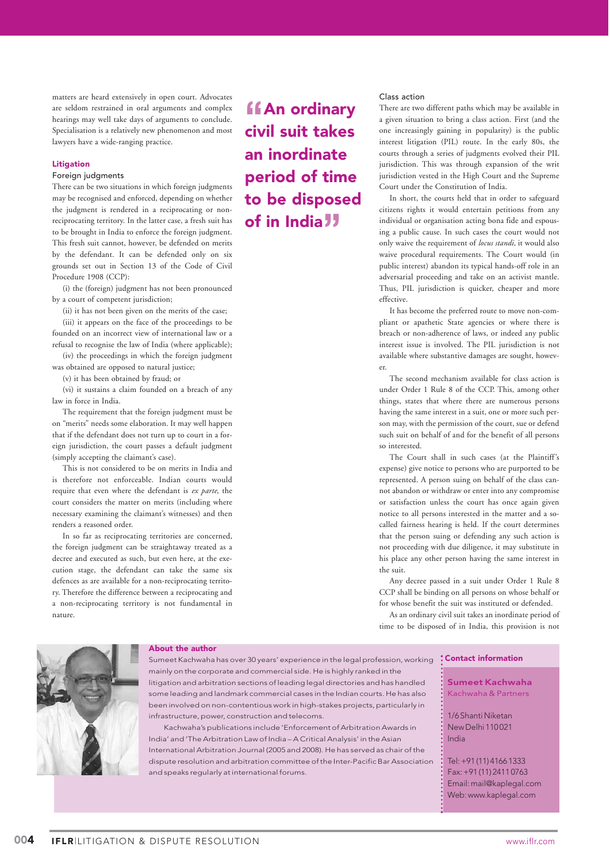matters are heard extensively in open court. Advocates are seldom restrained in oral arguments and complex hearings may well take days of arguments to conclude. Specialisation is a relatively new phenomenon and most lawyers have a wide-ranging practice.

#### Litigation

### Foreign judgments

There can be two situations in which foreign judgments may be recognised and enforced, depending on whether the judgment is rendered in a reciprocating or nonreciprocating territory. In the latter case, a fresh suit has to be brought in India to enforce the foreign judgment. This fresh suit cannot, however, be defended on merits by the defendant. It can be defended only on six grounds set out in Section 13 of the Code of Civil Procedure 1908 (CCP):

(i) the (foreign) judgment has not been pronounced by a court of competent jurisdiction;

(ii) it has not been given on the merits of the case; (iii) it appears on the face of the proceedings to be founded on an incorrect view of international law or a refusal to recognise the law of India (where applicable);

(iv) the proceedings in which the foreign judgment was obtained are opposed to natural justice;

(v) it has been obtained by fraud; or

(vi) it sustains a claim founded on a breach of any law in force in India.

The requirement that the foreign judgment must be on "merits" needs some elaboration. It may well happen that if the defendant does not turn up to court in a foreign jurisdiction, the court passes a default judgment (simply accepting the claimant's case).

This is not considered to be on merits in India and is therefore not enforceable. Indian courts would require that even where the defendant is *ex parte*, the court considers the matter on merits (including where necessary examining the claimant's witnesses) and then renders a reasoned order.

In so far as reciprocating territories are concerned, the foreign judgment can be straightaway treated as a decree and executed as such, but even here, at the execution stage, the defendant can take the same six defences as are available for a non-reciprocating territory. Therefore the difference between a reciprocating and a non-reciprocating territory is not fundamental in nature.

**ffAn ordinary** civil suit takes an inordinate period of time to be disposed of in India**"**

#### Class action

There are two different paths which may be available in a given situation to bring a class action. First (and the one increasingly gaining in popularity) is the public interest litigation (PIL) route. In the early 80s, the courts through a series of judgments evolved their PIL jurisdiction. This was through expansion of the writ jurisdiction vested in the High Court and the Supreme Court under the Constitution of India.

In short, the courts held that in order to safeguard citizens rights it would entertain petitions from any individual or organisation acting bona fide and espousing a public cause. In such cases the court would not only waive the requirement of *locus standi,* it would also waive procedural requirements. The Court would (in public interest) abandon its typical hands-off role in an adversarial proceeding and take on an activist mantle. Thus, PIL jurisdiction is quicker, cheaper and more effective.

It has become the preferred route to move non-compliant or apathetic State agencies or where there is breach or non-adherence of laws, or indeed any public interest issue is involved. The PIL jurisdiction is not available where substantive damages are sought, however.

The second mechanism available for class action is under Order 1 Rule 8 of the CCP. This, among other things, states that where there are numerous persons having the same interest in a suit, one or more such person may, with the permission of the court, sue or defend such suit on behalf of and for the benefit of all persons so interested.

The Court shall in such cases (at the Plaintiff's expense) give notice to persons who are purported to be represented. A person suing on behalf of the class cannot abandon or withdraw or enter into any compromise or satisfaction unless the court has once again given notice to all persons interested in the matter and a socalled fairness hearing is held. If the court determines that the person suing or defending any such action is not proceeding with due diligence, it may substitute in his place any other person having the same interest in the suit.

Any decree passed in a suit under Order 1 Rule 8 CCP shall be binding on all persons on whose behalf or for whose benefit the suit was instituted or defended.

As an ordinary civil suit takes an inordinate period of time to be disposed of in India, this provision is not



## About the author

Sumeet Kachwaha has over 30 years' experience in the legal profession, working mainly on the corporate and commercial side. He is highly ranked in the litigation and arbitration sections of leading legal directories and has handled some leading and landmark commercial cases in the Indian courts. He has also been involved on non-contentious work in high-stakes projects, particularly in infrastructure, power, construction and telecoms.

Kachwaha's publications include 'Enforcement of Arbitration Awards in India' and 'The Arbitration Law of India – A Critical Analysis' in the Asian International Arbitration Journal (2005 and 2008). He has served as chair of the dispute resolution and arbitration committee of the Inter-Pacific Bar Association and speaks regularly at international forums.

# Contact information

Sumeet Kachwaha Kachwaha & Partners

1/6 Shanti Niketan New Delhi 110 021 India

Tel: +91 (11) 4166 1333 Fax: +91 (11) 2411 0763 Email: mail@kaplegal.com Web: www.kaplegal.com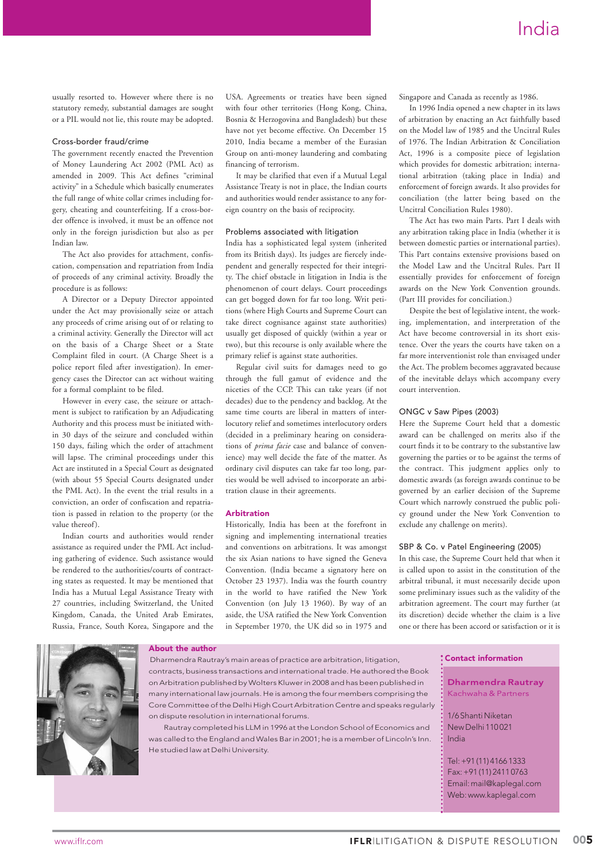usually resorted to. However where there is no statutory remedy, substantial damages are sought or a PIL would not lie, this route may be adopted.

#### Cross-border fraud/crime

The government recently enacted the Prevention of Money Laundering Act 2002 (PML Act) as amended in 2009. This Act defines "criminal activity" in a Schedule which basically enumerates the full range of white collar crimes including forgery, cheating and counterfeiting. If a cross-border offence is involved, it must be an offence not only in the foreign jurisdiction but also as per Indian law.

The Act also provides for attachment, confiscation, compensation and repatriation from India of proceeds of any criminal activity. Broadly the procedure is as follows:

A Director or a Deputy Director appointed under the Act may provisionally seize or attach any proceeds of crime arising out of or relating to a criminal activity. Generally the Director will act on the basis of a Charge Sheet or a State Complaint filed in court. (A Charge Sheet is a police report filed after investigation). In emergency cases the Director can act without waiting for a formal complaint to be filed.

However in every case, the seizure or attachment is subject to ratification by an Adjudicating Authority and this process must be initiated within 30 days of the seizure and concluded within 150 days, failing which the order of attachment will lapse. The criminal proceedings under this Act are instituted in a Special Court as designated (with about 55 Special Courts designated under the PML Act). In the event the trial results in a conviction, an order of confiscation and repatriation is passed in relation to the property (or the value thereof).

Indian courts and authorities would render assistance as required under the PML Act including gathering of evidence. Such assistance would be rendered to the authorities/courts of contracting states as requested. It may be mentioned that India has a Mutual Legal Assistance Treaty with 27 countries, including Switzerland, the United Kingdom, Canada, the United Arab Emirates, Russia, France, South Korea, Singapore and the USA. Agreements or treaties have been signed with four other territories (Hong Kong, China, Bosnia & Herzogovina and Bangladesh) but these have not yet become effective. On December 15 2010, India became a member of the Eurasian Group on anti-money laundering and combating financing of terrorism.

It may be clarified that even if a Mutual Legal Assistance Treaty is not in place, the Indian courts and authorities would render assistance to any foreign country on the basis of reciprocity.

#### Problems associated with litigation

India has a sophisticated legal system (inherited from its British days). Its judges are fiercely independent and generally respected for their integrity. The chief obstacle in litigation in India is the phenomenon of court delays. Court proceedings can get bogged down for far too long. Writ petitions (where High Courts and Supreme Court can take direct cognisance against state authorities) usually get disposed of quickly (within a year or two), but this recourse is only available where the primary relief is against state authorities.

Regular civil suits for damages need to go through the full gamut of evidence and the niceties of the CCP. This can take years (if not decades) due to the pendency and backlog. At the same time courts are liberal in matters of interlocutory relief and sometimes interlocutory orders (decided in a preliminary hearing on considerations of *prima facie* case and balance of convenience) may well decide the fate of the matter. As ordinary civil disputes can take far too long, parties would be well advised to incorporate an arbitration clause in their agreements.

#### **Arhitration**

Historically, India has been at the forefront in signing and implementing international treaties and conventions on arbitrations. It was amongst the six Asian nations to have signed the Geneva Convention. (India became a signatory here on October 23 1937). India was the fourth country in the world to have ratified the New York Convention (on July 13 1960). By way of an aside, the USA ratified the New York Convention in September 1970, the UK did so in 1975 and Singapore and Canada as recently as 1986.

In 1996 India opened a new chapter in its laws of arbitration by enacting an Act faithfully based on the Model law of 1985 and the Uncitral Rules of 1976. The Indian Arbitration & Conciliation Act, 1996 is a composite piece of legislation which provides for domestic arbitration; international arbitration (taking place in India) and enforcement of foreign awards. It also provides for conciliation (the latter being based on the Uncitral Conciliation Rules 1980).

The Act has two main Parts. Part I deals with any arbitration taking place in India (whether it is between domestic parties or international parties). This Part contains extensive provisions based on the Model Law and the Uncitral Rules. Part II essentially provides for enforcement of foreign awards on the New York Convention grounds. (Part III provides for conciliation.)

Despite the best of legislative intent, the working, implementation, and interpretation of the Act have become controversial in its short existence. Over the years the courts have taken on a far more interventionist role than envisaged under the Act. The problem becomes aggravated because of the inevitable delays which accompany every court intervention.

#### ONGC v Saw Pipes (2003)

Here the Supreme Court held that a domestic award can be challenged on merits also if the court finds it to be contrary to the substantive law governing the parties or to be against the terms of the contract. This judgment applies only to domestic awards (as foreign awards continue to be governed by an earlier decision of the Supreme Court which narrowly construed the public policy ground under the New York Convention to exclude any challenge on merits).

#### SBP & Co. v Patel Engineering (2005)

In this case, the Supreme Court held that when it is called upon to assist in the constitution of the arbitral tribunal, it must necessarily decide upon some preliminary issues such as the validity of the arbitration agreement. The court may further (at its discretion) decide whether the claim is a live one or there has been accord or satisfaction or it is



#### About the author

Dharmendra Rautray's main areas of practice are arbitration, litigation, contracts, business transactions and international trade. He authored the Book on Arbitration published by Wolters Kluwer in 2008 and has been published in many international law journals. He is among the four members comprising the Core Committee of the Delhi High Court Arbitration Centre and speaks regularly on dispute resolution in international forums.

Rautray completed his LLM in 1996 at the London School of Economics and was called to the England and Wales Bar in 2001; he is a member of Lincoln's Inn. He studied law at Delhi University.

### Contact information

Dharmendra Rautray Kachwaha & Partners 1/6 Shanti Niketan New Delhi 110 021 India Tel: +91 (11) 4166 1333

Fax: +91 (11) 2411 0763 Email: mail@kaplegal.com Web: www.kaplegal.com